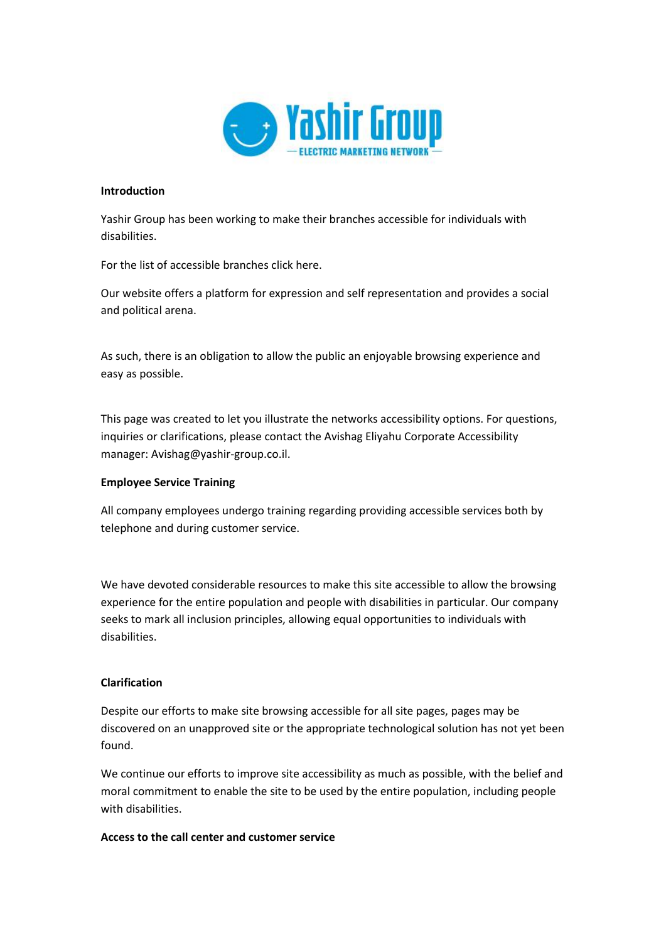

#### **Introduction**

Yashir Group has been working to make their branches accessible for individuals with disabilities.

For the list of accessible branches click here.

Our website offers a platform for expression and self representation and provides a social and political arena.

As such, there is an obligation to allow the public an enjoyable browsing experience and easy as possible.

This page was created to let you illustrate the networks accessibility options. For questions, inquiries or clarifications, please contact the Avishag Eliyahu Corporate Accessibility manager: Avishag@yashir-group.co.il.

#### **Employee Service Training**

All company employees undergo training regarding providing accessible services both by telephone and during customer service.

We have devoted considerable resources to make this site accessible to allow the browsing experience for the entire population and people with disabilities in particular. Our company seeks to mark all inclusion principles, allowing equal opportunities to individuals with disabilities.

#### **Clarification**

Despite our efforts to make site browsing accessible for all site pages, pages may be discovered on an unapproved site or the appropriate technological solution has not yet been found.

We continue our efforts to improve site accessibility as much as possible, with the belief and moral commitment to enable the site to be used by the entire population, including people with disabilities.

#### **Access to the call center and customer service**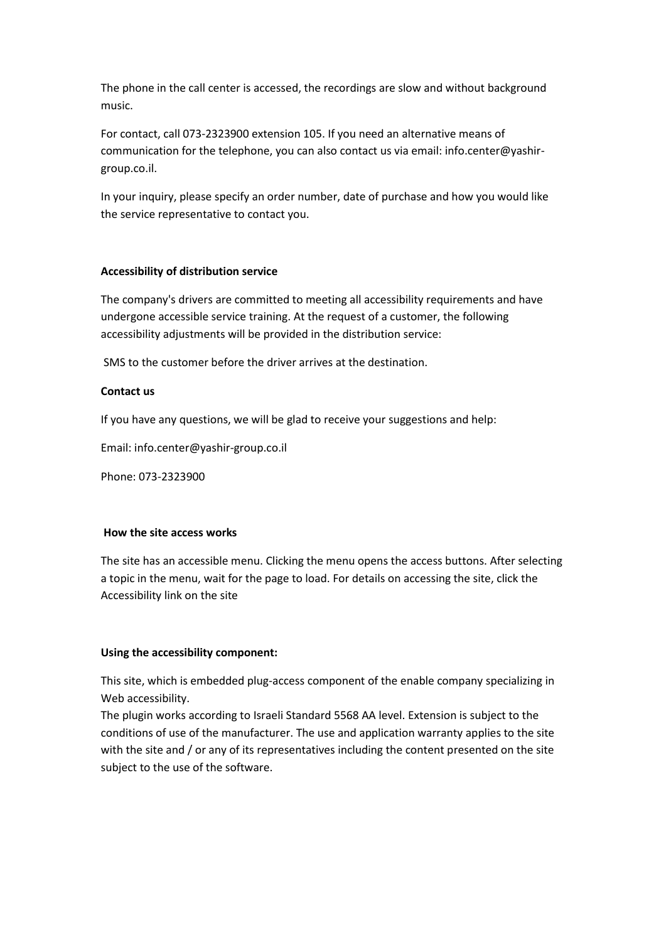The phone in the call center is accessed, the recordings are slow and without background music.

For contact, call 073-2323900 extension 105. If you need an alternative means of communication for the telephone, you can also contact us via email: info.center@yashirgroup.co.il.

In your inquiry, please specify an order number, date of purchase and how you would like the service representative to contact you.

### **Accessibility of distribution service**

The company's drivers are committed to meeting all accessibility requirements and have undergone accessible service training. At the request of a customer, the following accessibility adjustments will be provided in the distribution service:

SMS to the customer before the driver arrives at the destination.

### **Contact us**

If you have any questions, we will be glad to receive your suggestions and help:

Email: info.center@yashir-group.co.il

Phone: 073-2323900

#### **How the site access works**

The site has an accessible menu. Clicking the menu opens the access buttons. After selecting a topic in the menu, wait for the page to load. For details on accessing the site, click the Accessibility link on the site

## **Using the accessibility component:**

This site, which is embedded plug-access component of the enable company specializing in Web accessibility.

The plugin works according to Israeli Standard 5568 AA level. Extension is subject to the conditions of use of the manufacturer. The use and application warranty applies to the site with the site and / or any of its representatives including the content presented on the site subject to the use of the software.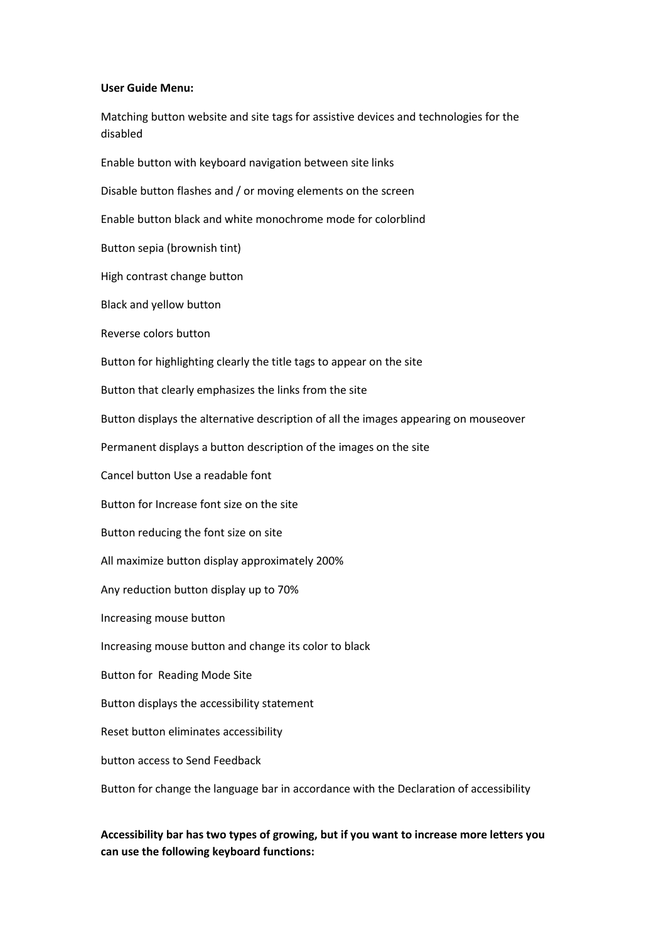#### **User Guide Menu:**

Matching button website and site tags for assistive devices and technologies for the disabled

Enable button with keyboard navigation between site links

Disable button flashes and / or moving elements on the screen

Enable button black and white monochrome mode for colorblind

Button sepia (brownish tint)

High contrast change button

Black and yellow button

Reverse colors button

Button for highlighting clearly the title tags to appear on the site

Button that clearly emphasizes the links from the site

Button displays the alternative description of all the images appearing on mouseover

Permanent displays a button description of the images on the site

Cancel button Use a readable font

Button for Increase font size on the site

Button reducing the font size on site

All maximize button display approximately 200%

Any reduction button display up to 70%

Increasing mouse button

Increasing mouse button and change its color to black

Button for Reading Mode Site

Button displays the accessibility statement

Reset button eliminates accessibility

button access to Send Feedback

Button for change the language bar in accordance with the Declaration of accessibility

# **Accessibility bar has two types of growing, but if you want to increase more letters you can use the following keyboard functions:**